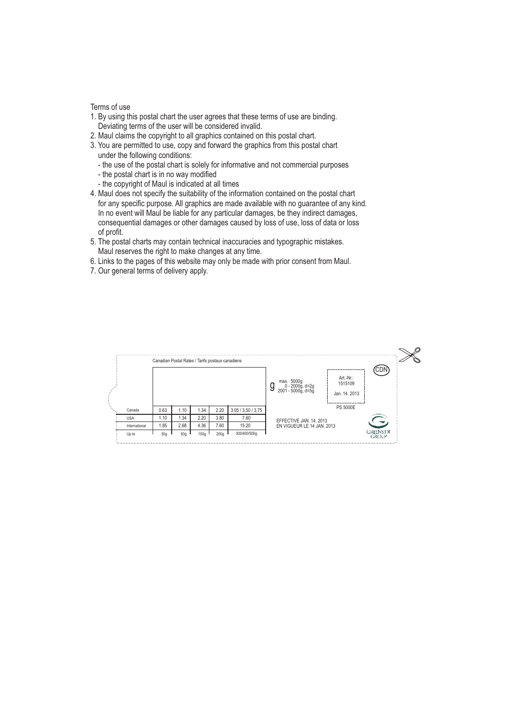Terms of use

- 1. By using this postal chart the user agrees that these terms of use are binding. Deviating terms of the user will be considered invalid.
- 2. Maul claims the copyright to all graphics contained on this postal chart.
- 3. You are permitted to use, copy and forward the graphics from this postal chart under the following conditions:
	- the use of the postal chart is solely for informative and not commercial purposes
	- the postal chart is in no way modified
	- the copyright of Maul is indicated at all times
- 4. Maul does not specify the suitability of the information contained on the postal chart for any specific purpose. All graphics are made available with no guarantee of any kind. In no event will Maul be liable for any particular damages, be they indirect damages, consequential damages or other damages caused by loss of use, loss of data or loss of profit.
- 5. The postal charts may contain technical inaccuracies and typographic mistakes. Maul reserves the right to make changes at any time.
- 6. Links to the pages of this website may only be made with prior consent from Maul.
- 7. Our general terms of delivery apply.